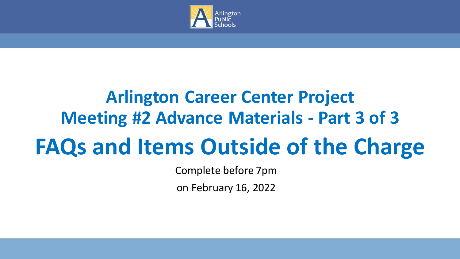

## **Arlington Career Center Project Meeting #2 Advance Materials - Part 3 of 3 FAQs and Items Outside of the Charge**

Complete before 7pm

on February 16, 2022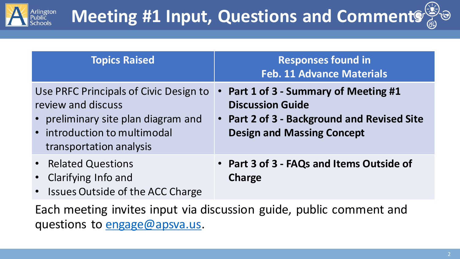

| <b>Topics Raised</b>                                                                                                                                           | <b>Responses found in</b><br><b>Feb. 11 Advance Materials</b>                                                                                      |
|----------------------------------------------------------------------------------------------------------------------------------------------------------------|----------------------------------------------------------------------------------------------------------------------------------------------------|
| Use PRFC Principals of Civic Design to<br>review and discuss<br>• preliminary site plan diagram and<br>• introduction to multimodal<br>transportation analysis | Part 1 of 3 - Summary of Meeting #1<br><b>Discussion Guide</b><br>• Part 2 of 3 - Background and Revised Site<br><b>Design and Massing Concept</b> |
| • Related Questions<br>• Clarifying Info and<br>• Issues Outside of the ACC Charge                                                                             | • Part 3 of 3 - FAQs and Items Outside of<br><b>Charge</b>                                                                                         |

Each meeting invites input via discussion guide, public comment and questions to [engage@apsva.us.](mailto:engage@apsva.us)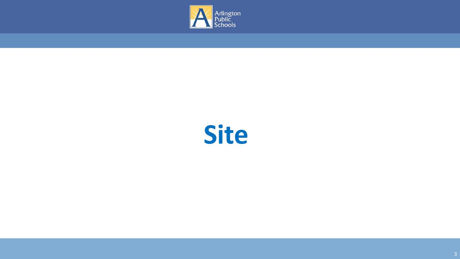

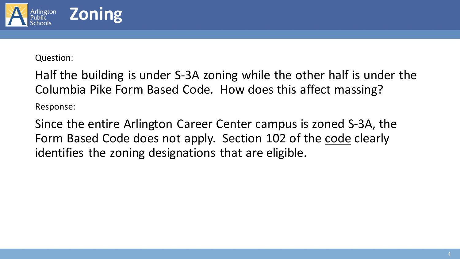

Half the building is under S-3A zoning while the other half is under the Columbia Pike Form Based Code. How does this affect massing? Response:

Since the entire Arlington Career Center campus is zoned S-3A, the Form Based Code does not apply. Section 102 of the [code](https://arlingtonva.s3.dualstack.us-east-1.amazonaws.com/wp-content/uploads/sites/31/2016/12/Dec-2016-N_FBC-Update.pdf) clearly identifies the zoning designations that are eligible.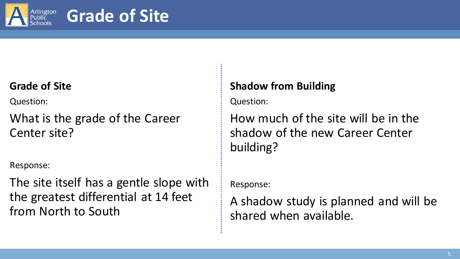

## **Grade of Site**

#### **Grade of Site**

Question:

What is the grade of the Career Center site?

Response:

The site itself has a gentle slope with the greatest differential at 14 feet from North to South

#### **Shadow from Building**

Question:

How much of the site will be in the shadow of the new Career Center building?

Response:

A shadow study is planned and will be shared when available.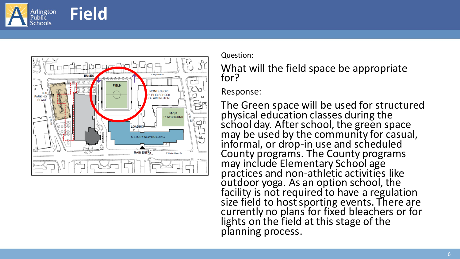



What will the field space be appropriate for?

Response:

The Green space will be used for structured physical education classes during the  $\mathop{\mathsf{sfiool}}$  day. After school, the green space may be used by the community for casual, informal, or drop -in use and scheduled County programs. The County programs may include Elementary School age practices and non -athletic activities like outdoor yoga. As an option school, the facility is not required to have a regulation size field to host sporting events. There are currently no plans for fixed bleachers or for lights on the field at this stage of the planning process.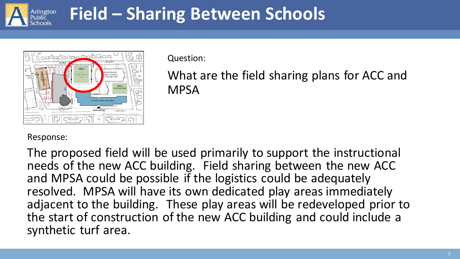

## **Field – Sharing Between Schools**



Question:

What are the field sharing plans for ACC and **MPSA** 

#### Response:

The proposed field will be used primarily to support the instructional needs of the new ACC building. Field sharing between the new ACC and MPSA could be possible if the logistics could be adequately resolved. MPSA will have its own dedicated play areas immediately adjacent to the building. These play areas will be redeveloped prior to the start of construction of the new ACC building and could include a synthetic turf area.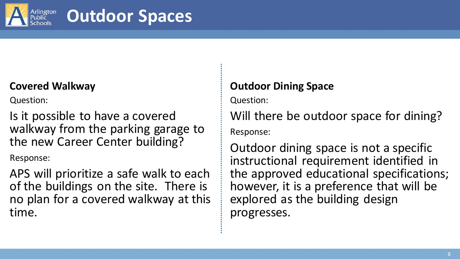

## **Outdoor Spaces**

#### **Covered Walkway**

Question:

Is it possible to have a covered walkway from the parking garage to the new Career Center building?

Response:

APS will prioritize a safe walk to each of the buildings on the site. There is no plan for a covered walkway at this time.

### **Outdoor Dining Space**

Question:

Will there be outdoor space for dining? Response:

Outdoor dining space is not a specific instructional requirement identified in the approved educational specifications; however, it is a preference that will be explored as the building design progresses.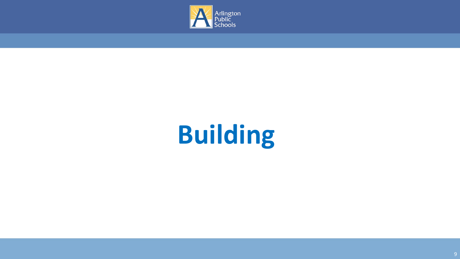

# **Building**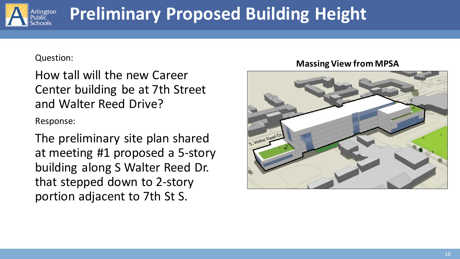

## **Preliminary Proposed Building Height**

#### Question:

How tall will the new Career Center building be at 7th Street and Walter Reed Drive?

Response:

The preliminary site plan shared at meeting #1 proposed a 5-story building along S Walter Reed Dr. that stepped down to 2-story portion adjacent to 7th St S.

#### **Massing View from MPSA**

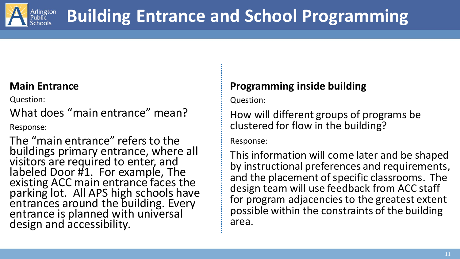

#### **Main Entrance**

Question:

What does "main entrance" mean?

Response:

The "main entrance" refers to the buildings primary entrance, where all visitors are required to enter, and labeled Door #1. For example, The existing ACC main entrance faces the parking lot. All APS high schools have entrances around the building. Every entrance is planned with universal design and accessibility.

### **Programming inside building**

Question:

How will different groups of programs be clustered for flow in the building?

Response:

This information will come later and be shaped by instructional preferences and requirements, and the placement of specific classrooms. The design team will use feedback from ACC staff for program adjacencies to the greatest extent possible within the constraints of the building area.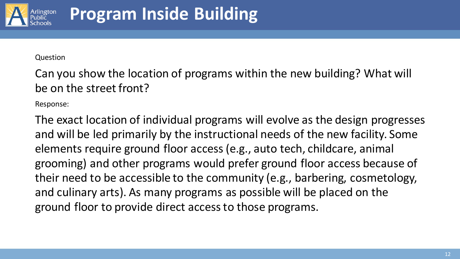

Can you show the location of programs within the new building? What will be on the street front?

Response:

The exact location of individual programs will evolve as the design progresses and will be led primarily by the instructional needs of the new facility. Some elements require ground floor access (e.g., auto tech, childcare, animal grooming) and other programs would prefer ground floor access because of their need to be accessible to the community (e.g., barbering, cosmetology, and culinary arts). As many programs as possible will be placed on the ground floor to provide direct access to those programs.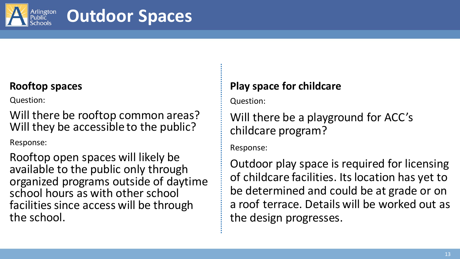

## **Outdoor Spaces**

#### **Rooftop spaces**

Question:

Will there be rooftop common areas? Will they be accessible to the public?

Response:

Rooftop open spaces will likely be available to the public only through organized programs outside of daytime school hours as with other school facilities since access will be through the school.

### **Play space for childcare**

Question:

Will there be a playground for ACC's childcare program?

Response:

Outdoor play space is required for licensing of childcare facilities. Its location has yet to be determined and could be at grade or on a roof terrace. Details will be worked out as the design progresses.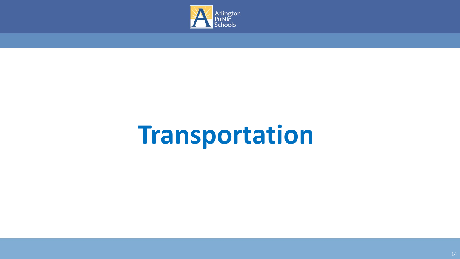

# **Transportation**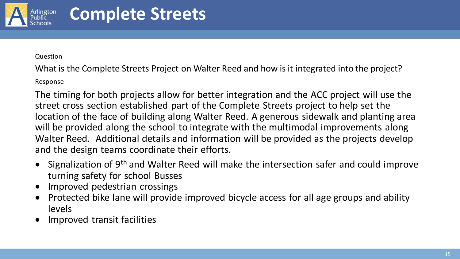

What is the Complete Streets Project on Walter Reed and how is it integrated into the project?

Response

The timing for both projects allow for better integration and the ACC project will use the street cross section established part of the Complete Streets project to help set the location of the face of building along Walter Reed. A generous sidewalk and planting area will be provided along the school to integrate with the multimodal improvements along Walter Reed. Additional details and information will be provided as the projects develop and the design teams coordinate their efforts.

- Signalization of 9<sup>th</sup> and Walter Reed will make the intersection safer and could improve turning safety for school Busses
- Improved pedestrian crossings
- Protected bike lane will provide improved bicycle access for all age groups and ability levels
- Improved transit facilities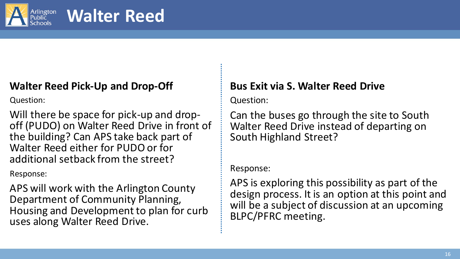

### **Walter Reed**

#### **Walter Reed Pick-Up and Drop-Off**

Question:

Will there be space for pick-up and dropoff (PUDO) on Walter Reed Drive in front of the building? Can APS take back part of Walter Reed either for PUDO or for additional setback from the street?

Response:

APS will work with the Arlington County Department of Community Planning, Housing and Development to plan for curb uses along Walter Reed Drive.

#### **Bus Exit via S. Walter Reed Drive**

Question:

Can the buses go through the site to South Walter Reed Drive instead of departing on South Highland Street?

#### Response:

APS is exploring this possibility as part of the design process. It is an option at this point and will be a subject of discussion at an upcoming BLPC/PFRC meeting.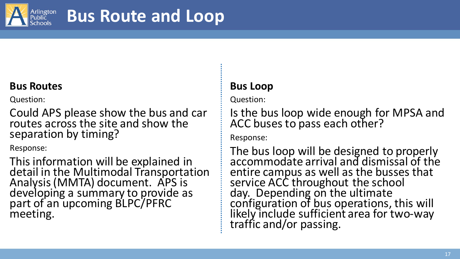

#### **Bus Routes**

Question:

Could APS please show the bus and car routes across the site and show the separation by timing?

Response:

This information will be explained in detail in the Multimodal Transportation Analysis (MMTA) document. APS is developing a summary to provide as part of an upcoming BLPC/PFRC meeting.

#### **Bus Loop**

Question:

Is the bus loop wide enough for MPSA and ACC buses to pass each other?

Response:

The bus loop will be designed to properly accommodate arrival and dismissal of the entire campus as well as the busses that service ACC throughout the school day. Depending on the ultimate configuration of bus operations, this will likely include sufficient area for two-way traffic and/or passing.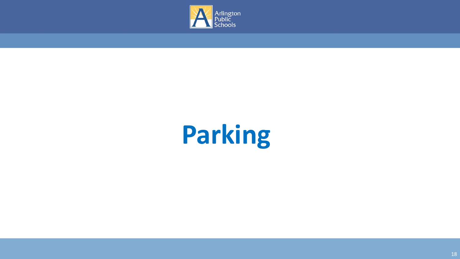

# **Parking**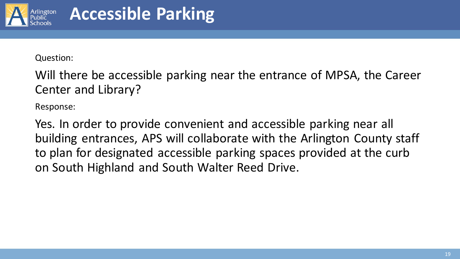

Will there be accessible parking near the entrance of MPSA, the Career Center and Library?

Response:

Yes. In order to provide convenient and accessible parking near all building entrances, APS will collaborate with the Arlington County staff to plan for designated accessible parking spaces provided at the curb on South Highland and South Walter Reed Drive.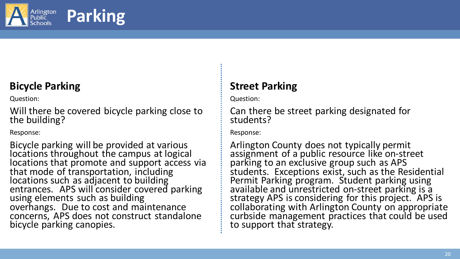

## **Parking**

### **Bicycle Parking**

Question:

Will there be covered bicycle parking close to the building?

Response:

Bicycle parking will be provided at various locations throughout the campus at logical locations that promote and support access via that mode of transportation, including locations such as adjacent to building entrances. APS will consider covered parking using elements such as building overhangs. Due to cost and maintenance concerns, APS does not construct standalone bicycle parking canopies.

### **Street Parking**

Question:

Can there be street parking designated for students?

Response:

Arlington County does not typically permit assignment of a public resource like on-street parking to an exclusive group such as APS students. Exceptions exist, such as the Residential Permit Parking program. Student parking using available and unrestricted on-street parking is a strategy APS is considering for this project. APS is collaborating with Arlington County on appropriate curbside management practices that could be used to support that strategy.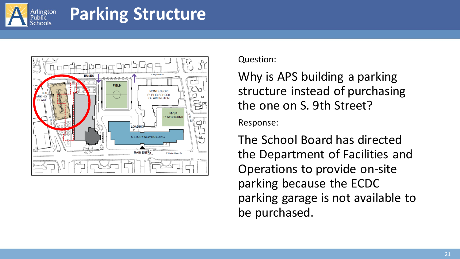

## **Parking Structure**



Question:

Why is APS building a parking structure instead of purchasing the one on S. 9th Street?

Response:

The School Board has directed the Department of Facilities and Operations to provide on-site parking because the ECDC parking garage is not available to be purchased.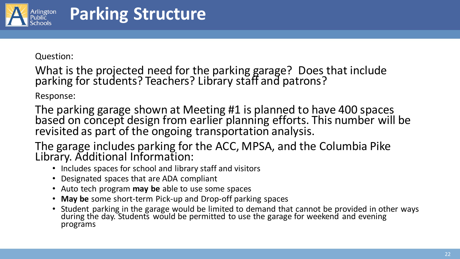

What is the projected need for the parking garage? Does that include parking for students? Teachers? Library staff and patrons?

Response:

The parking garage shown at Meeting #1 is planned to have 400 spaces based on concept design from earlier planning efforts. This number will be revisited as part of the ongoing transportation analysis.

The garage includes parking for the ACC, MPSA, and the Columbia Pike Library. Additional Information:

- Includes spaces for school and library staff and visitors
- Designated spaces that are ADA compliant
- Auto tech program **may be** able to use some spaces
- **May be** some short-term Pick-up and Drop-off parking spaces
- Student parking in the garage would be limited to demand that cannot be provided in other ways during the day. Students would be permitted to use the garage for weekend and evening programs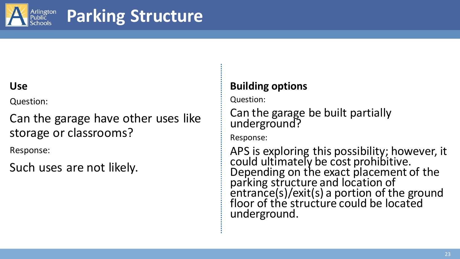

## **Parking Structure**

#### **Use**

Question:

Can the garage have other uses like storage or classrooms?

Response:

Such uses are not likely.

### **Building options**

Question:

Can the garage be built partially underground?

Response:

APS is exploring this possibility; however, it could ultimately be cost prohibitive. Depending on the exact placement of the parking structure and location of entrance(s)/exit(s) a portion of the ground floor of the structure could be located underground.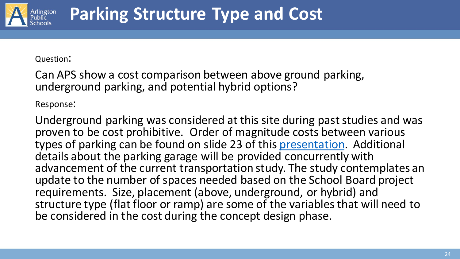

Can APS show a cost comparison between above ground parking, underground parking, and potential hybrid options?

Response:

Underground parking was considered at this site during past studies and was proven to be cost prohibitive. Order of magnitude costs between various types of parking can be found on slide 23 of this [presentation.](https://go.boarddocs.com/vsba/arlington/Board.nsf/files/BLCKDH515DE8/$file/013020-%20Career%20Ctr%20Concept%20Design%20Preview%20Presentation%20-%20rev.pdf) Additional details about the parking garage will be provided concurrently with advancement of the current transportation study. The study contemplates an update to the number of spaces needed based on the School Board project requirements. Size, placement (above, underground, or hybrid) and structure type (flat floor or ramp) are some of the variables that will need to be considered in the cost during the concept design phase.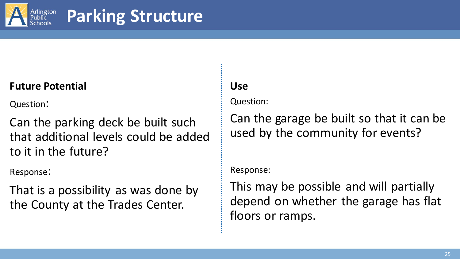

## **Parking Structure**

#### **Future Potential**

Question:

Can the parking deck be built such that additional levels could be added to it in the future?

Response:

That is a possibility as was done by the County at the Trades Center.

#### **Use**

Question:

Can the garage be built so that it can be used by the community for events?

Response:

This may be possible and will partially depend on whether the garage has flat floors or ramps.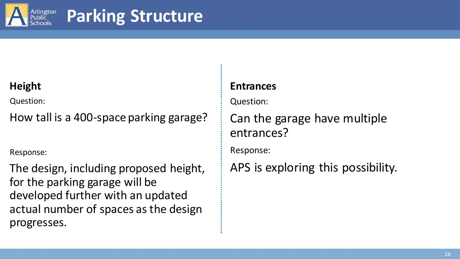

## **Parking Structure**

### **Height**

Question:

How tall is a 400-space parking garage?

Response:

The design, including proposed height, for the parking garage will be developed further with an updated actual number of spaces as the design progresses.

#### **Entrances**

Question:

Can the garage have multiple entrances?

Response:

APS is exploring this possibility.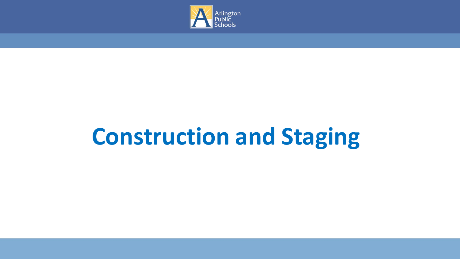

## **Construction and Staging**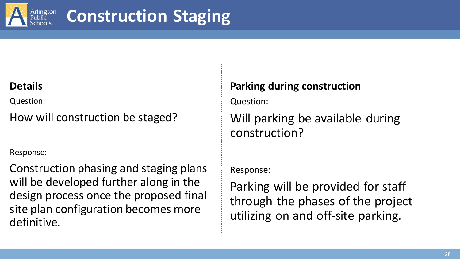

## **Construction Staging**

#### **Details**

Question:

How will construction be staged?

Response:

Construction phasing and staging plans will be developed further along in the design process once the proposed final site plan configuration becomes more definitive.

#### **Parking during construction**

Question:

Will parking be available during construction?

Response:

Parking will be provided for staff through the phases of the project utilizing on and off-site parking.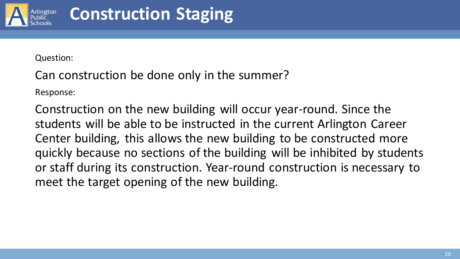

Can construction be done only in the summer?

Response:

Construction on the new building will occur year-round. Since the students will be able to be instructed in the current Arlington Career Center building, this allows the new building to be constructed more quickly because no sections of the building will be inhibited by students or staff during its construction. Year-round construction is necessary to meet the target opening of the new building.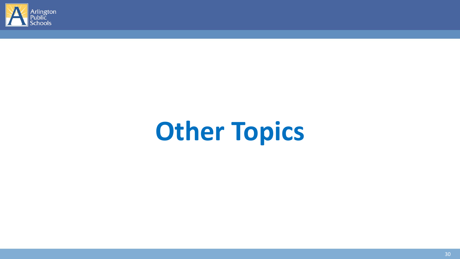

# **Other Topics**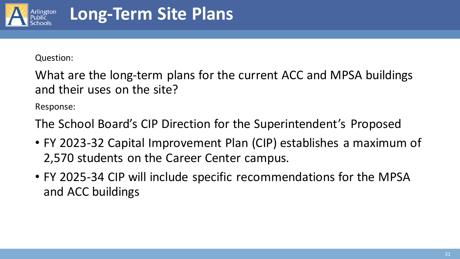

What are the long-term plans for the current ACC and MPSA buildings and their uses on the site?

Response:

The School Board's CIP Direction for the Superintendent's Proposed

- FY 2023-32 Capital Improvement Plan (CIP) establishes a maximum of 2,570 students on the Career Center campus.
- FY 2025-34 CIP will include specific recommendations for the MPSA and ACC buildings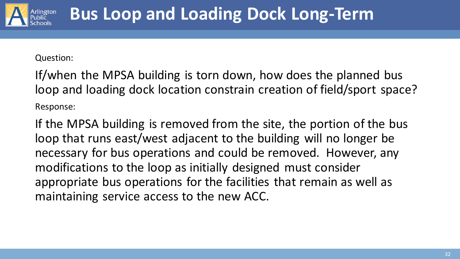

If/when the MPSA building is torn down, how does the planned bus loop and loading dock location constrain creation of field/sport space? Response:

If the MPSA building is removed from the site, the portion of the bus loop that runs east/west adjacent to the building will no longer be necessary for bus operations and could be removed. However, any modifications to the loop as initially designed must consider appropriate bus operations for the facilities that remain as well as maintaining service access to the new ACC.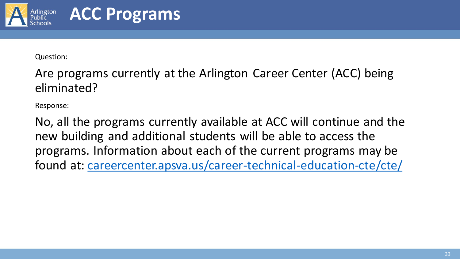

## **ACC Programs**

Question:

Are programs currently at the Arlington Career Center (ACC) being eliminated?

Response:

No, all the programs currently available at ACC will continue and the new building and additional students will be able to access the programs. Information about each of the current programs may be found at: [careercenter.apsva.us/career-technical-education-cte/cte/](https://careercenter.apsva.us/career-technical-education-cte/cte/)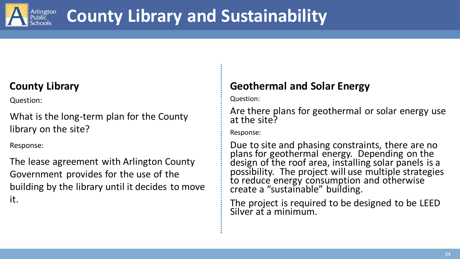

## **County Library and Sustainability**

### **County Library**

Question:

What is the long-term plan for the County library on the site?

Response:

The lease agreement with Arlington County Government provides for the use of the building by the library until it decides to move it.

#### **Geothermal and Solar Energy**

Question:

Are there plans for geothermal or solar energy use at the site?

Response:

Due to site and phasing constraints, there are no plans for geothermal energy. Depending on the design of the roof area, installing solar panels is a possibility. The project will use multiple strategies to reduce energy consumption and otherwise create a "sustainable" building.

The project is required to be designed to be LEED Silver at a minimum.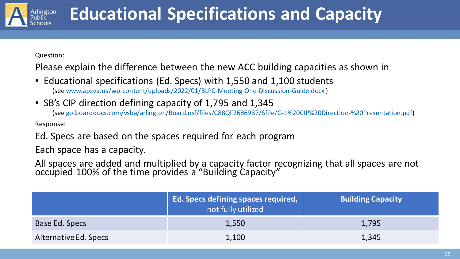

## **Educational Specifications and Capacity**

Question:

Please explain the difference between the new ACC building capacities as shown in

- Educational specifications (Ed. Specs) with 1,550 and 1,100 students (see [www.apsva.us/wp-content/uploads/2022/01/BLPC-Meeting-One-Discussion-Guide.docx](https://www.apsva.us/wp-content/uploads/2022/01/BLPC-Meeting-One-Discussion-Guide.docx) )
- SB's CIP direction defining capacity of 1,795 and 1,345

(see [go.boarddocs.com/vsba/arlington/Board.nsf/files/C88QF26869B7/\\$file/G-1%20CIP%20Direction-%20Presentation.pdf\)](https://go.boarddocs.com/vsba/arlington/Board.nsf/files/C88QF26869B7/$file/G-1%20CIP%20Direction-%20Presentation.pdf)

Response:

Ed. Specs are based on the spaces required for each program

Each space has a capacity.

All spaces are added and multiplied by a capacity factor recognizing that all spaces are not occupied 100% of the time provides a "Building Capacity"

|                       | <b>Ed. Specs defining spaces required,</b><br>not fully utilized | <b>Building Capacity</b> |
|-----------------------|------------------------------------------------------------------|--------------------------|
| Base Ed. Specs        | 1,550                                                            | 1,795                    |
| Alternative Ed. Specs | 1,100                                                            | 1,345                    |